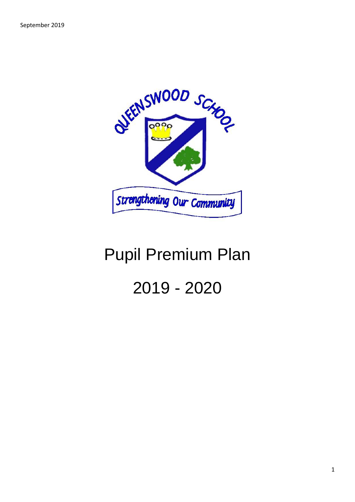

## Pupil Premium Plan 2019 - 2020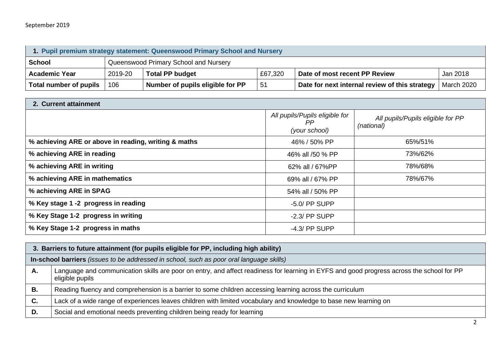| 1. Pupil premium strategy statement: Queenswood Primary School and Nursery |         |                                       |         |                                                |                   |  |  |
|----------------------------------------------------------------------------|---------|---------------------------------------|---------|------------------------------------------------|-------------------|--|--|
| <b>School</b>                                                              |         | Queenswood Primary School and Nursery |         |                                                |                   |  |  |
| <b>Academic Year</b>                                                       | 2019-20 | <b>Total PP budget</b>                | £67,320 | Date of most recent PP Review                  | Jan 2018          |  |  |
| Total number of pupils                                                     | 106     | Number of pupils eligible for PP      | 51      | Date for next internal review of this strategy | <b>March 2020</b> |  |  |

| 2. Current attainment                                |                                                       |                                                 |  |  |  |  |
|------------------------------------------------------|-------------------------------------------------------|-------------------------------------------------|--|--|--|--|
|                                                      | All pupils/Pupils eligible for<br>PP<br>(your school) | All pupils/Pupils eligible for PP<br>(national) |  |  |  |  |
| % achieving ARE or above in reading, writing & maths | 46% / 50% PP                                          | 65%/51%                                         |  |  |  |  |
| % achieving ARE in reading                           | 46% all /50 % PP                                      | 73%/62%                                         |  |  |  |  |
| % achieving ARE in writing                           | 62% all / 67%PP                                       | 78%/68%                                         |  |  |  |  |
| % achieving ARE in mathematics                       | 69% all / 67% PP                                      | 78%/67%                                         |  |  |  |  |
| % achieving ARE in SPAG                              | 54% all / 50% PP                                      |                                                 |  |  |  |  |
| % Key stage 1 -2 progress in reading                 | $-5.0$ PP SUPP                                        |                                                 |  |  |  |  |
| % Key Stage 1-2 progress in writing                  | $-2.3$ / PP SUPP                                      |                                                 |  |  |  |  |
| % Key Stage 1-2 progress in maths                    | $-4.3$ / PP SUPP                                      |                                                 |  |  |  |  |

|    | 3. Barriers to future attainment (for pupils eligible for PP, including high ability)                                                                        |  |  |  |
|----|--------------------------------------------------------------------------------------------------------------------------------------------------------------|--|--|--|
|    | In-school barriers (issues to be addressed in school, such as poor oral language skills)                                                                     |  |  |  |
| Α. | Language and communication skills are poor on entry, and affect readiness for learning in EYFS and good progress across the school for PP<br>eligible pupils |  |  |  |
| В. | Reading fluency and comprehension is a barrier to some children accessing learning across the curriculum                                                     |  |  |  |
| C. | Lack of a wide range of experiences leaves children with limited vocabulary and knowledge to base new learning on                                            |  |  |  |
| D. | Social and emotional needs preventing children being ready for learning                                                                                      |  |  |  |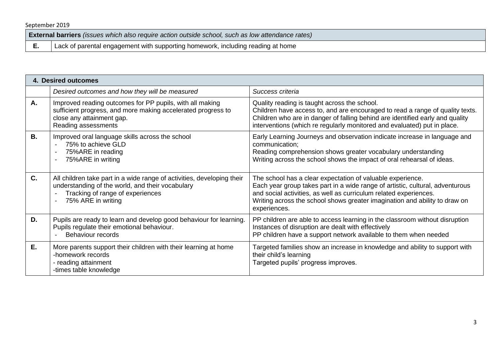**External barriers** *(issues which also require action outside school, such as low attendance rates)*

**E.** | Lack of parental engagement with supporting homework, including reading at home

|         | 4. Desired outcomes                                                                                                                                                                  |                                                                                                                                                                                                                                                                                                                |  |  |  |
|---------|--------------------------------------------------------------------------------------------------------------------------------------------------------------------------------------|----------------------------------------------------------------------------------------------------------------------------------------------------------------------------------------------------------------------------------------------------------------------------------------------------------------|--|--|--|
|         | Desired outcomes and how they will be measured                                                                                                                                       | Success criteria                                                                                                                                                                                                                                                                                               |  |  |  |
| Α.      | Improved reading outcomes for PP pupils, with all making<br>sufficient progress, and more making accelerated progress to<br>close any attainment gap.<br>Reading assessments         | Quality reading is taught across the school.<br>Children have access to, and are encouraged to read a range of quality texts.<br>Children who are in danger of falling behind are identified early and quality<br>interventions (which re regularly monitored and evaluated) put in place.                     |  |  |  |
| В.      | Improved oral language skills across the school<br>75% to achieve GLD<br>75%ARE in reading<br>75%ARE in writing                                                                      | Early Learning Journeys and observation indicate increase in language and<br>communication;<br>Reading comprehension shows greater vocabulary understanding<br>Writing across the school shows the impact of oral rehearsal of ideas.                                                                          |  |  |  |
| $C_{1}$ | All children take part in a wide range of activities, developing their<br>understanding of the world, and their vocabulary<br>Tracking of range of experiences<br>75% ARE in writing | The school has a clear expectation of valuable experience.<br>Each year group takes part in a wide range of artistic, cultural, adventurous<br>and social activities, as well as curriculum related experiences.<br>Writing across the school shows greater imagination and ability to draw on<br>experiences. |  |  |  |
| D.      | Pupils are ready to learn and develop good behaviour for learning.<br>Pupils regulate their emotional behaviour.<br><b>Behaviour records</b>                                         | PP children are able to access learning in the classroom without disruption<br>Instances of disruption are dealt with effectively<br>PP children have a support network available to them when needed                                                                                                          |  |  |  |
| Е.      | More parents support their children with their learning at home<br>-homework records<br>- reading attainment<br>-times table knowledge                                               | Targeted families show an increase in knowledge and ability to support with<br>their child's learning<br>Targeted pupils' progress improves.                                                                                                                                                                   |  |  |  |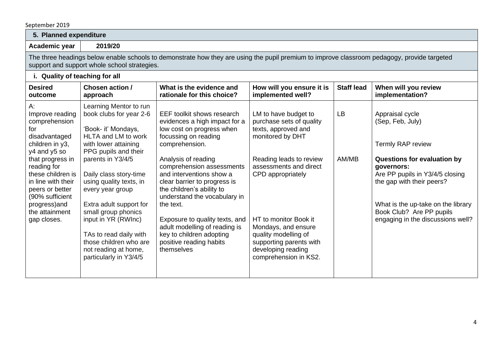| 5. Planned expenditure                                                                                                                                                                                                                                                  |                                                                                                                                                                                                                                                                                                                                                                                                                              |                                                                                                                                                                                                                                                                                                                                                                                                                                                                      |                                                                                                                                                                                                                                                                                                                         |                   |                                                                                                                                                                                                                                                                                            |  |  |
|-------------------------------------------------------------------------------------------------------------------------------------------------------------------------------------------------------------------------------------------------------------------------|------------------------------------------------------------------------------------------------------------------------------------------------------------------------------------------------------------------------------------------------------------------------------------------------------------------------------------------------------------------------------------------------------------------------------|----------------------------------------------------------------------------------------------------------------------------------------------------------------------------------------------------------------------------------------------------------------------------------------------------------------------------------------------------------------------------------------------------------------------------------------------------------------------|-------------------------------------------------------------------------------------------------------------------------------------------------------------------------------------------------------------------------------------------------------------------------------------------------------------------------|-------------------|--------------------------------------------------------------------------------------------------------------------------------------------------------------------------------------------------------------------------------------------------------------------------------------------|--|--|
| Academic year                                                                                                                                                                                                                                                           | 2019/20                                                                                                                                                                                                                                                                                                                                                                                                                      |                                                                                                                                                                                                                                                                                                                                                                                                                                                                      |                                                                                                                                                                                                                                                                                                                         |                   |                                                                                                                                                                                                                                                                                            |  |  |
|                                                                                                                                                                                                                                                                         | The three headings below enable schools to demonstrate how they are using the pupil premium to improve classroom pedagogy, provide targeted<br>support and support whole school strategies.                                                                                                                                                                                                                                  |                                                                                                                                                                                                                                                                                                                                                                                                                                                                      |                                                                                                                                                                                                                                                                                                                         |                   |                                                                                                                                                                                                                                                                                            |  |  |
|                                                                                                                                                                                                                                                                         | i. Quality of teaching for all                                                                                                                                                                                                                                                                                                                                                                                               |                                                                                                                                                                                                                                                                                                                                                                                                                                                                      |                                                                                                                                                                                                                                                                                                                         |                   |                                                                                                                                                                                                                                                                                            |  |  |
| <b>Desired</b><br>outcome                                                                                                                                                                                                                                               | Chosen action /<br>approach                                                                                                                                                                                                                                                                                                                                                                                                  | What is the evidence and<br>rationale for this choice?                                                                                                                                                                                                                                                                                                                                                                                                               | How will you ensure it is<br>implemented well?                                                                                                                                                                                                                                                                          | <b>Staff lead</b> | When will you review<br>implementation?                                                                                                                                                                                                                                                    |  |  |
| A:<br>Improve reading<br>comprehension<br>for<br>disadvantaged<br>children in y3,<br>y4 and y5 so<br>that progress in<br>reading for<br>these children is<br>in line with their<br>peers or better<br>(90% sufficient<br>progress) and<br>the attainment<br>gap closes. | Learning Mentor to run<br>book clubs for year 2-6<br>'Book- it' Mondays,<br>HLTA and LM to work<br>with lower attaining<br>PPG pupils and their<br>parents in Y3/4/5<br>Daily class story-time<br>using quality texts, in<br>every year group<br>Extra adult support for<br>small group phonics<br>input in YR (RWInc)<br>TAs to read daily with<br>those children who are<br>not reading at home,<br>particularly in Y3/4/5 | EEF toolkit shows research<br>evidences a high impact for a<br>low cost on progress when<br>focussing on reading<br>comprehension.<br>Analysis of reading<br>comprehension assessments<br>and interventions show a<br>clear barrier to progress is<br>the children's ability to<br>understand the vocabulary in<br>the text.<br>Exposure to quality texts, and<br>adult modelling of reading is<br>key to children adopting<br>positive reading habits<br>themselves | LM to have budget to<br>purchase sets of quality<br>texts, approved and<br>monitored by DHT<br>Reading leads to review<br>assessments and direct<br>CPD appropriately<br>HT to monitor Book it<br>Mondays, and ensure<br>quality modelling of<br>supporting parents with<br>developing reading<br>comprehension in KS2. | LB<br>AM/MB       | Appraisal cycle<br>(Sep, Feb, July)<br><b>Termly RAP review</b><br><b>Questions for evaluation by</b><br>governors:<br>Are PP pupils in Y3/4/5 closing<br>the gap with their peers?<br>What is the up-take on the library<br>Book Club? Are PP pupils<br>engaging in the discussions well? |  |  |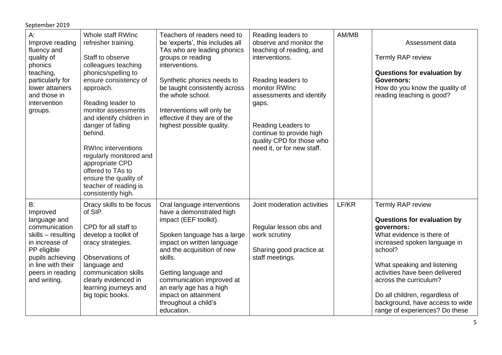| $A$ :<br>Improve reading<br>fluency and<br>quality of<br>phonics<br>teaching,<br>particularly for<br>lower attainers<br>and those in<br>intervention<br>groups.                      | Whole staff RWInc<br>refresher training.<br>Staff to observe<br>colleagues teaching<br>phonics/spelling to<br>ensure consistency of<br>approach.<br>Reading leader to<br>monitor assessments<br>and identify children in<br>danger of falling<br>behind.<br><b>RWInc interventions</b><br>regularly monitored and<br>appropriate CPD<br>offered to TAs to<br>ensure the quality of<br>teacher of reading is<br>consistently high. | Teachers of readers need to<br>be 'experts', this includes all<br>TAs who are leading phonics<br>groups or reading<br>interventions.<br>Synthetic phonics needs to<br>be taught consistently across<br>the whole school.<br>Interventions will only be<br>effective if they are of the<br>highest possible quality.                  | Reading leaders to<br>observe and monitor the<br>teaching of reading, and<br>interventions.<br>Reading leaders to<br>monitor RWInc<br>assessments and identify<br>gaps.<br>Reading Leaders to<br>continue to provide high<br>quality CPD for those who<br>need it, or for new staff. | AM/MB | Assessment data<br><b>Termly RAP review</b><br>Questions for evaluation by<br><b>Governors:</b><br>How do you know the quality of<br>reading teaching is good?                                                                                                                                                                           |
|--------------------------------------------------------------------------------------------------------------------------------------------------------------------------------------|-----------------------------------------------------------------------------------------------------------------------------------------------------------------------------------------------------------------------------------------------------------------------------------------------------------------------------------------------------------------------------------------------------------------------------------|--------------------------------------------------------------------------------------------------------------------------------------------------------------------------------------------------------------------------------------------------------------------------------------------------------------------------------------|--------------------------------------------------------------------------------------------------------------------------------------------------------------------------------------------------------------------------------------------------------------------------------------|-------|------------------------------------------------------------------------------------------------------------------------------------------------------------------------------------------------------------------------------------------------------------------------------------------------------------------------------------------|
| B:<br>Improved<br>language and<br>communication<br>skills - resulting<br>in increase of<br>PP eligible<br>pupils achieving<br>in line with their<br>peers in reading<br>and writing. | Oracy skills to be focus<br>of SIP.<br>CPD for all staff to<br>develop a toolkit of<br>oracy strategies.<br>Observations of<br>language and<br>communication skills<br>clearly evidenced in<br>learning journeys and<br>big topic books.                                                                                                                                                                                          | Oral language interventions<br>have a demonstrated high<br>impact (EEF toolkit).<br>Spoken language has a large<br>impact on written language<br>and the acquisition of new<br>skills.<br>Getting language and<br>communication improved at<br>an early age has a high<br>impact on attainment<br>throughout a child's<br>education. | Joint moderation activities<br>Regular lesson obs and<br>work scrutiny<br>Sharing good practice at<br>staff meetings.                                                                                                                                                                | LF/KR | Termly RAP review<br>Questions for evaluation by<br>governors:<br>What evidence is there of<br>increased spoken language in<br>school?<br>What speaking and listening<br>activities have been delivered<br>across the curriculum?<br>Do all children, regardless of<br>background, have access to wide<br>range of experiences? Do these |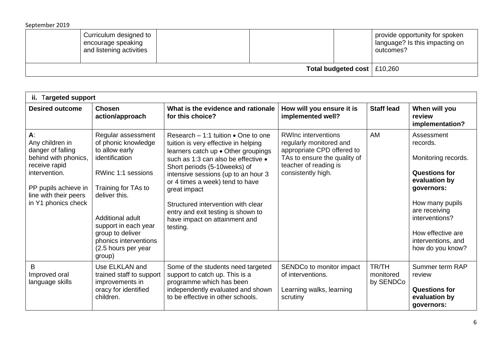| Curriculum designed to<br>encourage speaking<br>and listening activities |                               |  |  | provide opportunity for spoken<br>language? Is this impacting on<br>outcomes? |
|--------------------------------------------------------------------------|-------------------------------|--|--|-------------------------------------------------------------------------------|
|                                                                          | Total budgeted cost   £10,260 |  |  |                                                                               |

| ii. Targeted support                                                                                                                                                            |                                                                                                                                                                                                                                                                       |                                                                                                                                                                                                                                                                                                                                                                                                                       |                                                                                                                                                                    |                                 |                                                                                                                                                                                                                           |  |
|---------------------------------------------------------------------------------------------------------------------------------------------------------------------------------|-----------------------------------------------------------------------------------------------------------------------------------------------------------------------------------------------------------------------------------------------------------------------|-----------------------------------------------------------------------------------------------------------------------------------------------------------------------------------------------------------------------------------------------------------------------------------------------------------------------------------------------------------------------------------------------------------------------|--------------------------------------------------------------------------------------------------------------------------------------------------------------------|---------------------------------|---------------------------------------------------------------------------------------------------------------------------------------------------------------------------------------------------------------------------|--|
| <b>Desired outcome</b>                                                                                                                                                          | <b>Chosen</b><br>action/approach                                                                                                                                                                                                                                      | What is the evidence and rationale<br>for this choice?                                                                                                                                                                                                                                                                                                                                                                | How will you ensure it is<br>implemented well?                                                                                                                     | <b>Staff lead</b>               | When will you<br>review<br>implementation?                                                                                                                                                                                |  |
| $A$ :<br>Any children in<br>danger of falling<br>behind with phonics,<br>receive rapid<br>intervention.<br>PP pupils achieve in<br>line with their peers<br>in Y1 phonics check | Regular assessment<br>of phonic knowledge<br>to allow early<br>identification<br>RWinc 1:1 sessions<br>Training for TAs to<br>deliver this.<br>Additional adult<br>support in each year<br>group to deliver<br>phonics interventions<br>(2.5 hours per year<br>group) | Research $-1:1$ tuition $\bullet$ One to one<br>tuition is very effective in helping<br>learners catch up . Other groupings<br>such as 1:3 can also be effective .<br>Short periods (5-10weeks) of<br>intensive sessions (up to an hour 3<br>or 4 times a week) tend to have<br>great impact<br>Structured intervention with clear<br>entry and exit testing is shown to<br>have impact on attainment and<br>testing. | <b>RWInc interventions</b><br>regularly monitored and<br>appropriate CPD offered to<br>TAs to ensure the quality of<br>teacher of reading is<br>consistently high. | AM                              | Assessment<br>records.<br>Monitoring records.<br><b>Questions for</b><br>evaluation by<br>governors:<br>How many pupils<br>are receiving<br>interventions?<br>How effective are<br>interventions, and<br>how do you know? |  |
| B<br>Improved oral<br>language skills                                                                                                                                           | Use ELKLAN and<br>trained staff to support<br>improvements in<br>oracy for identified<br>children.                                                                                                                                                                    | Some of the students need targeted<br>support to catch up. This is a<br>programme which has been<br>independently evaluated and shown<br>to be effective in other schools.                                                                                                                                                                                                                                            | SENDCo to monitor impact<br>of interventions.<br>Learning walks, learning<br>scrutiny                                                                              | TR/TH<br>monitored<br>by SENDCo | Summer term RAP<br>review<br><b>Questions for</b><br>evaluation by<br>governors:                                                                                                                                          |  |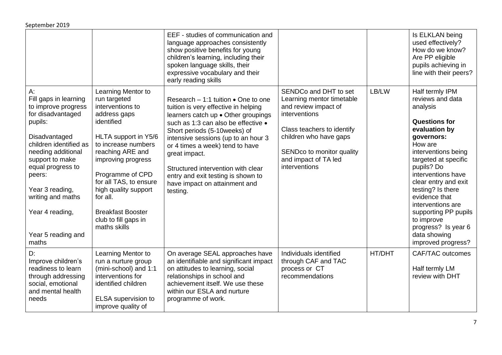|                                                                                                                                                                                                                                                                                                 |                                                                                                                                                                                                                                                                                                                                     | EEF - studies of communication and<br>language approaches consistently<br>show positive benefits for young<br>children's learning, including their<br>spoken language skills, their<br>expressive vocabulary and their<br>early reading skills                                                                                                                                                                         |                                                                                                                                                                                                                           |        | Is ELKLAN being<br>used effectively?<br>How do we know?<br>Are PP eligible<br>pupils achieving in<br>line with their peers?                                                                                                                                                                                                                                                                |
|-------------------------------------------------------------------------------------------------------------------------------------------------------------------------------------------------------------------------------------------------------------------------------------------------|-------------------------------------------------------------------------------------------------------------------------------------------------------------------------------------------------------------------------------------------------------------------------------------------------------------------------------------|------------------------------------------------------------------------------------------------------------------------------------------------------------------------------------------------------------------------------------------------------------------------------------------------------------------------------------------------------------------------------------------------------------------------|---------------------------------------------------------------------------------------------------------------------------------------------------------------------------------------------------------------------------|--------|--------------------------------------------------------------------------------------------------------------------------------------------------------------------------------------------------------------------------------------------------------------------------------------------------------------------------------------------------------------------------------------------|
| A:<br>Fill gaps in learning<br>to improve progress<br>for disadvantaged<br>pupils:<br>Disadvantaged<br>children identified as<br>needing additional<br>support to make<br>equal progress to<br>peers:<br>Year 3 reading,<br>writing and maths<br>Year 4 reading,<br>Year 5 reading and<br>maths | Learning Mentor to<br>run targeted<br>interventions to<br>address gaps<br>identified<br>HLTA support in Y5/6<br>to increase numbers<br>reaching ARE and<br>improving progress<br>Programme of CPD<br>for all TAS, to ensure<br>high quality support<br>for all.<br><b>Breakfast Booster</b><br>club to fill gaps in<br>maths skills | Research $-1:1$ tuition $\bullet$ One to one<br>tuition is very effective in helping<br>learners catch up . Other groupings<br>such as 1:3 can also be effective •<br>Short periods (5-10weeks) of<br>intensive sessions (up to an hour 3<br>or 4 times a week) tend to have<br>great impact.<br>Structured intervention with clear<br>entry and exit testing is shown to<br>have impact on attainment and<br>testing. | SENDCo and DHT to set<br>Learning mentor timetable<br>and review impact of<br>interventions<br>Class teachers to identify<br>children who have gaps<br>SENDco to monitor quality<br>and impact of TA led<br>interventions | LB/LW  | Half termly IPM<br>reviews and data<br>analysis<br><b>Questions for</b><br>evaluation by<br>governors:<br>How are<br>interventions being<br>targeted at specific<br>pupils? Do<br>interventions have<br>clear entry and exit<br>testing? Is there<br>evidence that<br>interventions are<br>supporting PP pupils<br>to improve<br>progress? Is year 6<br>data showing<br>improved progress? |
| D:<br>Improve children's<br>readiness to learn<br>through addressing<br>social, emotional<br>and mental health<br>needs                                                                                                                                                                         | Learning Mentor to<br>run a nurture group<br>(mini-school) and 1:1<br>interventions for<br>identified children<br>ELSA supervision to<br>improve quality of                                                                                                                                                                         | On average SEAL approaches have<br>an identifiable and significant impact<br>on attitudes to learning, social<br>relationships in school and<br>achievement itself. We use these<br>within our ESLA and nurture<br>programme of work.                                                                                                                                                                                  | Individuals identified<br>through CAF and TAC<br>process or CT<br>recommendations                                                                                                                                         | HT/DHT | CAF/TAC outcomes<br>Half termly LM<br>review with DHT                                                                                                                                                                                                                                                                                                                                      |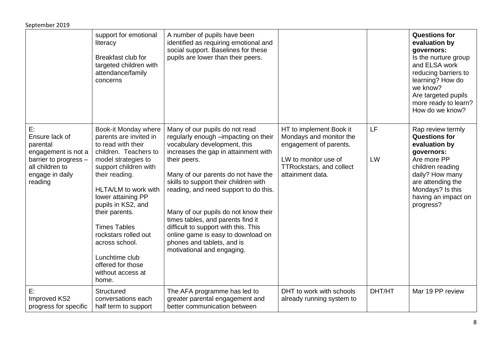|                                                                                                                                   | support for emotional<br>literacy<br>Breakfast club for<br>targeted children with<br>attendance/family<br>concerns                                                                                                                                                                                                                                                                          | A number of pupils have been<br>identified as requiring emotional and<br>social support. Baselines for these<br>pupils are lower than their peers.                                                                                                                                                                                                                                                                                                                                                             |                                                                                                                                                             |          | <b>Questions for</b><br>evaluation by<br>governors:<br>Is the nurture group<br>and ELSA work<br>reducing barriers to<br>learning? How do<br>we know?<br>Are targeted pupils<br>more ready to learn?<br>How do we know? |
|-----------------------------------------------------------------------------------------------------------------------------------|---------------------------------------------------------------------------------------------------------------------------------------------------------------------------------------------------------------------------------------------------------------------------------------------------------------------------------------------------------------------------------------------|----------------------------------------------------------------------------------------------------------------------------------------------------------------------------------------------------------------------------------------------------------------------------------------------------------------------------------------------------------------------------------------------------------------------------------------------------------------------------------------------------------------|-------------------------------------------------------------------------------------------------------------------------------------------------------------|----------|------------------------------------------------------------------------------------------------------------------------------------------------------------------------------------------------------------------------|
| E:<br>Ensure lack of<br>parental<br>engagement is not a<br>barrier to progress -<br>all children to<br>engage in daily<br>reading | Book-it Monday where<br>parents are invited in<br>to read with their<br>children. Teachers to<br>model strategies to<br>support children with<br>their reading.<br>HLTA/LM to work with<br>lower attaining PP<br>pupils in KS2, and<br>their parents.<br><b>Times Tables</b><br>rockstars rolled out<br>across school.<br>Lunchtime club<br>offered for those<br>without access at<br>home. | Many of our pupils do not read<br>regularly enough -impacting on their<br>vocabulary development, this<br>increases the gap in attainment with<br>their peers.<br>Many of our parents do not have the<br>skills to support their children with<br>reading, and need support to do this.<br>Many of our pupils do not know their<br>times tables, and parents find it<br>difficult to support with this. This<br>online game is easy to download on<br>phones and tablets, and is<br>motivational and engaging. | HT to implement Book it<br>Mondays and monitor the<br>engagement of parents.<br>LW to monitor use of<br><b>TTRockstars, and collect</b><br>attainment data. | LF<br>LW | Rap review termly<br><b>Questions for</b><br>evaluation by<br>governors:<br>Are more PP<br>children reading<br>daily? How many<br>are attending the<br>Mondays? Is this<br>having an impact on<br>progress?            |
| E:<br>Improved KS2<br>progress for specific                                                                                       | Structured<br>conversations each<br>half term to support                                                                                                                                                                                                                                                                                                                                    | The AFA programme has led to<br>greater parental engagement and<br>better communication between                                                                                                                                                                                                                                                                                                                                                                                                                | DHT to work with schools<br>already running system to                                                                                                       | DHT/HT   | Mar 19 PP review                                                                                                                                                                                                       |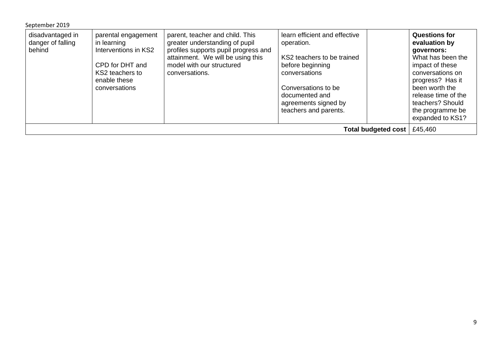| September 2019                                  |                                                                                                                                   |                                                                                                                                                                                               |                                                                                                                                                                                                          |                                                                                                                                                                                                                                          |  |  |
|-------------------------------------------------|-----------------------------------------------------------------------------------------------------------------------------------|-----------------------------------------------------------------------------------------------------------------------------------------------------------------------------------------------|----------------------------------------------------------------------------------------------------------------------------------------------------------------------------------------------------------|------------------------------------------------------------------------------------------------------------------------------------------------------------------------------------------------------------------------------------------|--|--|
| disadvantaged in<br>danger of falling<br>behind | parental engagement<br>in learning<br>Interventions in KS2<br>CPD for DHT and<br>KS2 teachers to<br>enable these<br>conversations | parent, teacher and child. This<br>greater understanding of pupil<br>profiles supports pupil progress and<br>attainment. We will be using this<br>model with our structured<br>conversations. | learn efficient and effective<br>operation.<br>KS2 teachers to be trained<br>before beginning<br>conversations<br>Conversations to be<br>documented and<br>agreements signed by<br>teachers and parents. | <b>Questions for</b><br>evaluation by<br>governors:<br>What has been the<br>impact of these<br>conversations on<br>progress? Has it<br>been worth the<br>release time of the<br>teachers? Should<br>the programme be<br>expanded to KS1? |  |  |
|                                                 | £45,460<br><b>Total budgeted cost</b>                                                                                             |                                                                                                                                                                                               |                                                                                                                                                                                                          |                                                                                                                                                                                                                                          |  |  |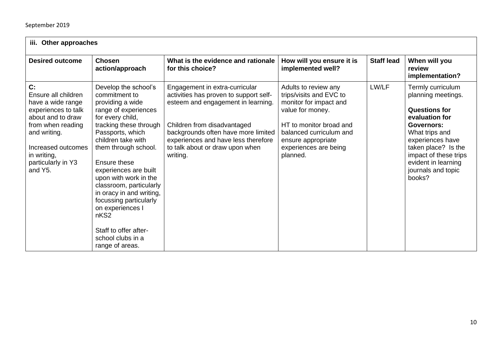| iii. Other approaches                                                                                                                                                                                 |                                                                                                                                                                                                                                                                                                                                                                                                                                                               |                                                                                                                                                                                                                                                                            |                                                                                                                                                                                                                |                   |                                                                                                                                                                                                                                                     |  |
|-------------------------------------------------------------------------------------------------------------------------------------------------------------------------------------------------------|---------------------------------------------------------------------------------------------------------------------------------------------------------------------------------------------------------------------------------------------------------------------------------------------------------------------------------------------------------------------------------------------------------------------------------------------------------------|----------------------------------------------------------------------------------------------------------------------------------------------------------------------------------------------------------------------------------------------------------------------------|----------------------------------------------------------------------------------------------------------------------------------------------------------------------------------------------------------------|-------------------|-----------------------------------------------------------------------------------------------------------------------------------------------------------------------------------------------------------------------------------------------------|--|
| <b>Desired outcome</b>                                                                                                                                                                                | <b>Chosen</b><br>action/approach                                                                                                                                                                                                                                                                                                                                                                                                                              | What is the evidence and rationale<br>for this choice?                                                                                                                                                                                                                     | How will you ensure it is<br>implemented well?                                                                                                                                                                 | <b>Staff lead</b> | When will you<br>review<br>implementation?                                                                                                                                                                                                          |  |
| C:<br>Ensure all children<br>have a wide range<br>experiences to talk<br>about and to draw<br>from when reading<br>and writing.<br>Increased outcomes<br>in writing,<br>particularly in Y3<br>and Y5. | Develop the school's<br>commitment to<br>providing a wide<br>range of experiences<br>for every child,<br>tracking these through<br>Passports, which<br>children take with<br>them through school.<br>Ensure these<br>experiences are built<br>upon with work in the<br>classroom, particularly<br>in oracy in and writing,<br>focussing particularly<br>on experiences I<br>nKS <sub>2</sub><br>Staff to offer after-<br>school clubs in a<br>range of areas. | Engagement in extra-curricular<br>activities has proven to support self-<br>esteem and engagement in learning.<br>Children from disadvantaged<br>backgrounds often have more limited<br>experiences and have less therefore<br>to talk about or draw upon when<br>writing. | Adults to review any<br>trips/visits and EVC to<br>monitor for impact and<br>value for money.<br>HT to monitor broad and<br>balanced curriculum and<br>ensure appropriate<br>experiences are being<br>planned. | LW/LF             | Termly curriculum<br>planning meetings.<br><b>Questions for</b><br>evaluation for<br><b>Governors:</b><br>What trips and<br>experiences have<br>taken place? Is the<br>impact of these trips<br>evident in learning<br>journals and topic<br>books? |  |